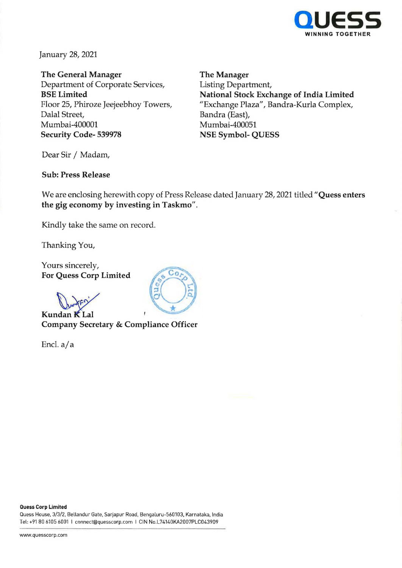

January 28, 2021

**The General Manager**  Department of Corporate Services, **BSE Limited**  Floor 25, Phiroze Jeejeebhoy Towers, Dalal Street, Mumbai-400001 **Security Code- 539978** 

**The Manager**  Listing Department, **National Stock Exchange of India Limited**  "Exchange Plaza", Bandra-Kurla Complex, Bandra (East), Mumbai-400051 **NSE Symbol- QUESS** 

Dear Sir / Madam,

# **Sub: Press Release**

We are enclosing herewith copy of Press Release dated January 28, 2021 titled **"Quess enters the gig economy by investing in Taskmo".** 

Kindly take the same on record.

Thanking You,

Yours sincerely, **For Quess Corp Limited** 

**Kundan <b>K** Lal **Company Secretary & Compliance Officer** 

Encl. a/a



#### **Quess Corp Limited**

Quess House, 3/3/2, Bellandur Gate, Sarjapur Road, Bengaluru-560103, Karnataka, India Tel: +91 80 6105 6001 I cnnnect@quesscorp.com I CIN No.L74140KA2007PLC043909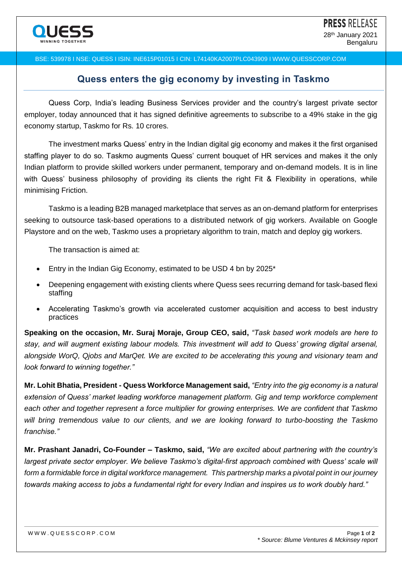### BSE: 539978 I NSE: QUESS I ISIN: INE615P01015 I CIN: L74140KA2007PLC043909 I WWW.QUESSCORP.COM

# **Quess enters the gig economy by investing in Taskmo**

Quess Corp, India's leading Business Services provider and the country's largest private sector employer, today announced that it has signed definitive agreements to subscribe to a 49% stake in the gig economy startup, Taskmo for Rs. 10 crores.

The investment marks Quess' entry in the Indian digital gig economy and makes it the first organised staffing player to do so. Taskmo augments Quess' current bouquet of HR services and makes it the only Indian platform to provide skilled workers under permanent, temporary and on-demand models. It is in line with Quess' business philosophy of providing its clients the right Fit & Flexibility in operations, while minimising Friction.

Taskmo is a leading B2B managed marketplace that serves as an on-demand platform for enterprises seeking to outsource task-based operations to a distributed network of gig workers. Available on Google Playstore and on the web, Taskmo uses a proprietary algorithm to train, match and deploy gig workers.

The transaction is aimed at:

- Entry in the Indian Gig Economy, estimated to be USD 4 bn by 2025\*
- Deepening engagement with existing clients where Quess sees recurring demand for task-based flexi staffing
- Accelerating Taskmo's growth via accelerated customer acquisition and access to best industry practices

**Speaking on the occasion, Mr. Suraj Moraje, Group CEO, said,** *"Task based work models are here to stay, and will augment existing labour models. This investment will add to Quess' growing digital arsenal, alongside WorQ, Qjobs and MarQet. We are excited to be accelerating this young and visionary team and look forward to winning together."*

**Mr. Lohit Bhatia, President - Quess Workforce Management said,** *"Entry into the gig economy is a natural extension of Quess' market leading workforce management platform. Gig and temp workforce complement each other and together represent a force multiplier for growing enterprises. We are confident that Taskmo will bring tremendous value to our clients, and we are looking forward to turbo-boosting the Taskmo franchise."*

**Mr. Prashant Janadri, Co-Founder – Taskmo, said,** *"We are excited about partnering with the country's largest private sector employer. We believe Taskmo's digital-first approach combined with Quess' scale will form a formidable force in digital workforce management. This partnership marks a pivotal point in our journey towards making access to jobs a fundamental right for every Indian and inspires us to work doubly hard."*